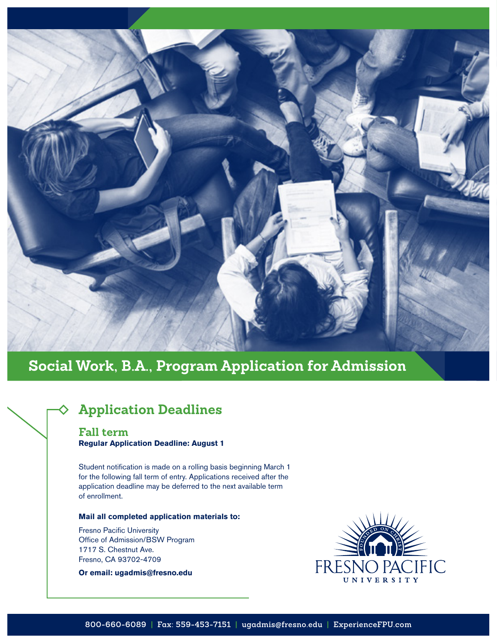

# **Social Work, B.A., Program Application for Admission**

# **Application Deadlines**

#### **Fall term Regular Application Deadline: August 1**

Student notification is made on a rolling basis beginning March 1 for the following fall term of entry. Applications received after the application deadline may be deferred to the next available term of enrollment.

#### **Mail all completed application materials to:**

Fresno Pacific University Office of Admission/BSW Program 1717 S. Chestnut Ave. Fresno, CA 93702-4709

#### **Or email: ugadmis@fresno.edu**

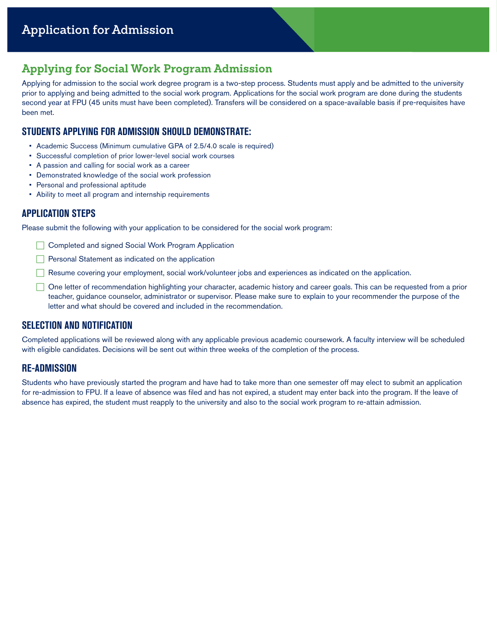# **Applying for Social Work Program Admission**

Applying for admission to the social work degree program is a two-step process. Students must apply and be admitted to the university prior to applying and being admitted to the social work program. Applications for the social work program are done during the students second year at FPU (45 units must have been completed). Transfers will be considered on a space-available basis if pre-requisites have been met.

### **STUDENTS APPLYING FOR ADMISSION SHOULD DEMONSTRATE:**

- Academic Success (Minimum cumulative GPA of 2.5/4.0 scale is required)
- Successful completion of prior lower-level social work courses
- A passion and calling for social work as a career
- Demonstrated knowledge of the social work profession
- Personal and professional aptitude
- Ability to meet all program and internship requirements

### **APPLICATION STEPS**

Please submit the following with your application to be considered for the social work program:

- **Completed and signed Social Work Program Application**
- $\Box$  Personal Statement as indicated on the application
- Resume covering your employment, social work/volunteer jobs and experiences as indicated on the application.
- One letter of recommendation highlighting your character, academic history and career goals. This can be requested from a prior teacher, guidance counselor, administrator or supervisor. Please make sure to explain to your recommender the purpose of the letter and what should be covered and included in the recommendation.

#### **SELECTION AND NOTIFICATION**

Completed applications will be reviewed along with any applicable previous academic coursework. A faculty interview will be scheduled with eligible candidates. Decisions will be sent out within three weeks of the completion of the process.

### **RE-ADMISSION**

Students who have previously started the program and have had to take more than one semester off may elect to submit an application for re-admission to FPU. If a leave of absence was filed and has not expired, a student may enter back into the program. If the leave of absence has expired, the student must reapply to the university and also to the social work program to re-attain admission.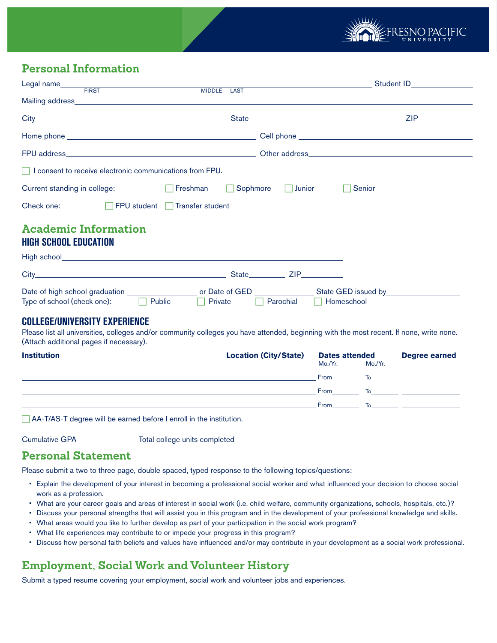

# **Personal Information**

| Legal name FIRST                                                | Student ID________________ |                                                                                                                |  |  |
|-----------------------------------------------------------------|----------------------------|----------------------------------------------------------------------------------------------------------------|--|--|
| MIDDLE LAST                                                     |                            |                                                                                                                |  |  |
|                                                                 |                            | ZIP Providence and the set of the set of the set of the set of the set of the set of the set of the set of the |  |  |
|                                                                 |                            |                                                                                                                |  |  |
|                                                                 |                            |                                                                                                                |  |  |
| $\Box$ I consent to receive electronic communications from FPU. |                            |                                                                                                                |  |  |
| Freshman<br>Current standing in college:                        |                            | Sophmore $\Box$ Junior<br>Senior                                                                               |  |  |
| Check one: <b>FPU</b> student Transfer student                  |                            |                                                                                                                |  |  |
| <b>Academic Information</b><br><b>HIGH SCHOOL EDUCATION</b>     |                            |                                                                                                                |  |  |
|                                                                 |                            |                                                                                                                |  |  |
|                                                                 |                            | ZIP <b>Service</b><br>State                                                                                    |  |  |

| Date of high school graduation |               | or Date of GED | State GED issued by  |
|--------------------------------|---------------|----------------|----------------------|
| Type of school (check one):    | $\Box$ Public | <b>Private</b> | Parochial Homeschool |

#### **COLLEGE/UNIVERSITY EXPERIENCE**

Please list all universities, colleges and/or community colleges you have attended, beginning with the most recent. If none, write none. (Attach additional pages if necessary).

| <b>Institution</b> | <b>Location (City/State)</b> | <b>Dates attended</b>                                                                                                                                                                                                                                                                                                                                                                       |         | Degree earned                                                                 |
|--------------------|------------------------------|---------------------------------------------------------------------------------------------------------------------------------------------------------------------------------------------------------------------------------------------------------------------------------------------------------------------------------------------------------------------------------------------|---------|-------------------------------------------------------------------------------|
|                    |                              | Mo./Yr.                                                                                                                                                                                                                                                                                                                                                                                     | Mo./Yr. |                                                                               |
|                    |                              | From $\frac{1}{\sqrt{1-\frac{1}{2}}}\sqrt{1-\frac{1}{2}-\frac{1}{2}-\frac{1}{2}-\frac{1}{2}-\frac{1}{2}-\frac{1}{2}-\frac{1}{2}-\frac{1}{2}-\frac{1}{2}-\frac{1}{2}-\frac{1}{2}-\frac{1}{2}-\frac{1}{2}-\frac{1}{2}-\frac{1}{2}-\frac{1}{2}-\frac{1}{2}-\frac{1}{2}-\frac{1}{2}-\frac{1}{2}-\frac{1}{2}-\frac{1}{2}-\frac{1}{2}-\frac{1}{2}-\frac{1}{2}-\frac{1}{2}-\frac{1}{2}-\frac{1}{2$ |         |                                                                               |
|                    |                              | From $\qquad \qquad$ To $\qquad \qquad$ To $\qquad \qquad$                                                                                                                                                                                                                                                                                                                                  |         |                                                                               |
|                    |                              |                                                                                                                                                                                                                                                                                                                                                                                             |         | $\begin{array}{cccc} \text{From} & \text{To} & \text{} & \text{} \end{array}$ |

 $\Box$  AA-T/AS-T degree will be earned before I enroll in the institution.

Cumulative GPA Total college units completed

### **Personal Statement**

Please submit a two to three page, double spaced, typed response to the following topics/questions:

- Explain the development of your interest in becoming a professional social worker and what influenced your decision to choose social work as a profession.
- What are your career goals and areas of interest in social work (i.e. child welfare, community organizations, schools, hospitals, etc.)?
- Discuss your personal strengths that will assist you in this program and in the development of your professional knowledge and skills.
- What areas would you like to further develop as part of your participation in the social work program?
- What life experiences may contribute to or impede your progress in this program?
- Discuss how personal faith beliefs and values have influenced and/or may contribute in your development as a social work professional.

## **Employment, Social Work and Volunteer History**

Submit a typed resume covering your employment, social work and volunteer jobs and experiences.